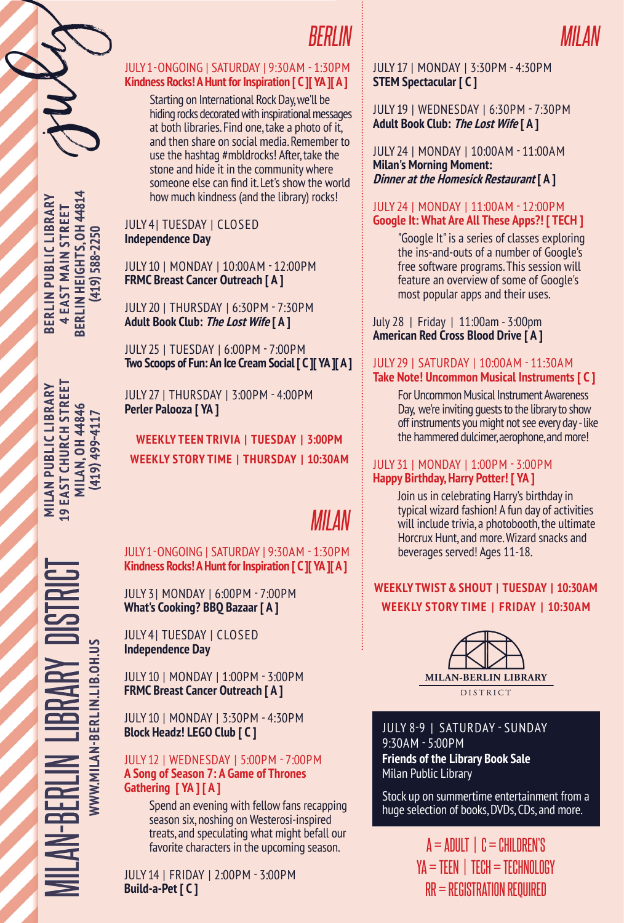

#### JULY 1 - ONGOING | SATURDAY | 9:30AM - 1:30PM **Kindness Rocks! A Hunt for Inspiration [ C ][ YA ][ A ]**

Starting on International Rock Day, we'll be hiding rocks decorated with inspirational messages at both libraries. Find one, take a photo of it, and then share on social media. Remember to use the hashtag #mbldrocks! After, take the stone and hide it in the community where someone else can find it. Let's show the world how much kindness (and the library) rocks!

#### JULY 4 | TUESDAY | CLOSED **Independence Day**

JULY 10 | MONDAY | 10:00AM - 12:00PM **FRMC Breast Cancer Outreach [ A ]**

JULY 20 | THURSDAY | 6:30PM - 7:30PM **Adult Book Club: The Lost Wife [ A ]**

JULY 25 | TUESDAY | 6:00PM - 7:00PM **Two Scoops of Fun: An Ice Cream Social [ C ][ YA ][ A ]**

JULY 27 | THURSDAY | 3:00PM - 4:00PM **Perler Palooza [ YA ]**

**WEEKLY STORY TIME | THURSDAY | 10:30AM WEEKLY TEEN TRIVIA | TUESDAY | 3:00PM**

# *MILAN*

JULY 1 - ONGOING | SATURDAY | 9:30AM - 1:30PM **Kindness Rocks! A Hunt for Inspiration [ C ][ YA ][ A ]**

JULY 3 | MONDAY | 6:00PM - 7:00PM **What's Cooking? BBQ Bazaar [ A ]**

JULY 4 | TUESDAY | CLOSED **Independence Day**

JULY 10 | MONDAY | 1:00PM - 3:00PM **FRMC Breast Cancer Outreach [ A ]**

JULY 10 | MONDAY | 3:30PM - 4:30PM **Block Headz! LEGO Club [ C ]**

#### JULY 12 | WEDNESDAY | 5:00PM - 7:00PM **A Song of Season 7: A Game of Thrones Gathering [ YA ] [ A ]**

Spend an evening with fellow fans recapping season six, noshing on Westerosi-inspired treats, and speculating what might befall our favorite characters in the upcoming season.

JULY 14 | FRIDAY | 2:00PM - 3:00PM **Build-a-Pet [ C ]**

#### JULY 17 | MONDAY | 3:30PM - 4:30PM **STEM Spectacular [ C ]**

JULY 19 | WEDNESDAY | 6:30PM - 7:30PM **Adult Book Club: The Lost Wife [ A ]**

JULY 24 | MONDAY | 10:00AM - 11:00AM **Milan's Morning Moment: Dinner at the Homesick Restaurant [ A ]**

#### JULY 24 | MONDAY | 11:00AM - 12:00PM **Google It: What Are All These Apps?! [ TECH ]**

"Google It" is a series of classes exploring the ins-and-outs of a number of Google's free software programs. This session will feature an overview of some of Google's most popular apps and their uses.

July 28 | Friday | 11:00am - 3:00pm **American Red Cross Blood Drive [ A ]**

#### JULY 29 | SATURDAY | 10:00AM - 11:30AM **Take Note! Uncommon Musical Instruments [ C ]**

For Uncommon Musical Instrument Awareness Day, we're inviting guests to the library to show off instruments you might not see every day - like the hammered dulcimer, aerophone, and more!

#### JULY 31 | MONDAY | 1:00PM - 3:00PM **Happy Birthday, Harry Potter! [ YA ]**

Join us in celebrating Harry's birthday in typical wizard fashion! A fun day of activities will include trivia, a photobooth, the ultimate Horcrux Hunt, and more. Wizard snacks and beverages served! Ages 11-18.

### **WEEKLY TWIST & SHOUT | TUESDAY | 10:30AM WEEKLY STORY TIME | FRIDAY | 10:30AM**



JULY 8-9 | SATURDAY - SUNDAY 9:30AM - 5:00PM **Friends of the Library Book Sale** Milan Public Library

Stock up on summertime entertainment from a huge selection of books, DVDs, CDs, and more.

> $A = ADULT$  |  $C = CHILDEREN'S$  $YA = TEEN$  |  $TECH = TECHNOLOGY$ RR = REGISTRATION REQUIRED

MILAN-BERLIN LIBRARY DISTRICT **MILAN PUBLIC LIBRARY 19 EAST CHURCH STREET MILAN, OH 44846** WWW.MILAN-BERLIN.LIB.OH.US **WWW.MILAN-BERLIN.LIB.OH.US**

BERLIN HEIGHTS, OH 44814 **BERLIN HEIGHTS, OH 44814 BERLIN PUBLIC LIBRARY** BERLIN PUBLIC LIBRARY **4 EAST MAIN STREET 4 EAST MAIN STREET**  $(419)$  588-2250 **(419) 588-2250**

july

**19 EAST CHURCH STREET** MILAN PUBLIC LIBRARY **MILAN, OH 44846** (419) 499-4117 **(419) 499-4117**